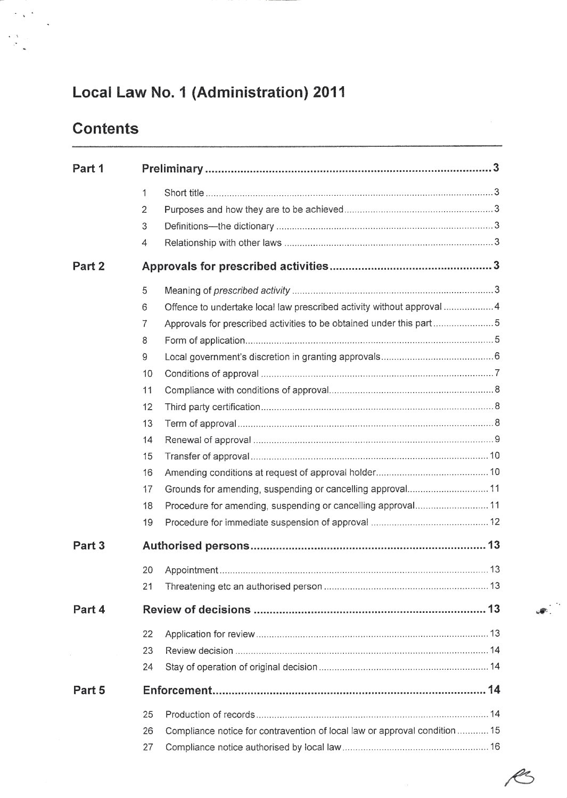# Local Law No. 1 (Administration) 2011

# **Contents**

 $\sim$   $\sim$ 

 $\begin{array}{c} \leftarrow \sqrt{2} \\ \leftarrow \frac{1}{\sqrt{2}} \end{array}$ 

| Part 1 |              |                                                                            |  |  |  |  |
|--------|--------------|----------------------------------------------------------------------------|--|--|--|--|
|        | $\mathbf{1}$ |                                                                            |  |  |  |  |
|        | 2            |                                                                            |  |  |  |  |
|        | 3            |                                                                            |  |  |  |  |
|        | 4            |                                                                            |  |  |  |  |
| Part 2 |              |                                                                            |  |  |  |  |
|        | 5            |                                                                            |  |  |  |  |
|        | 6            | Offence to undertake local law prescribed activity without approval  4     |  |  |  |  |
|        | 7            | Approvals for prescribed activities to be obtained under this part5        |  |  |  |  |
|        | 8            |                                                                            |  |  |  |  |
|        | 9            |                                                                            |  |  |  |  |
|        | 10           |                                                                            |  |  |  |  |
|        | 11           |                                                                            |  |  |  |  |
|        | 12           |                                                                            |  |  |  |  |
|        | 13           |                                                                            |  |  |  |  |
|        | 14           |                                                                            |  |  |  |  |
|        | 15           |                                                                            |  |  |  |  |
|        | 16           |                                                                            |  |  |  |  |
|        | 17           | Grounds for amending, suspending or cancelling approval11                  |  |  |  |  |
|        | 18           | Procedure for amending, suspending or cancelling approval11                |  |  |  |  |
|        | 19           |                                                                            |  |  |  |  |
| Part 3 |              |                                                                            |  |  |  |  |
|        | 20           |                                                                            |  |  |  |  |
|        | 21           |                                                                            |  |  |  |  |
| Part 4 |              |                                                                            |  |  |  |  |
|        | 22           |                                                                            |  |  |  |  |
|        | 23           |                                                                            |  |  |  |  |
|        | 24           |                                                                            |  |  |  |  |
| Part 5 |              |                                                                            |  |  |  |  |
|        | 25           |                                                                            |  |  |  |  |
|        | 26           | Compliance notice for contravention of local law or approval condition  15 |  |  |  |  |
|        | 27           |                                                                            |  |  |  |  |

4.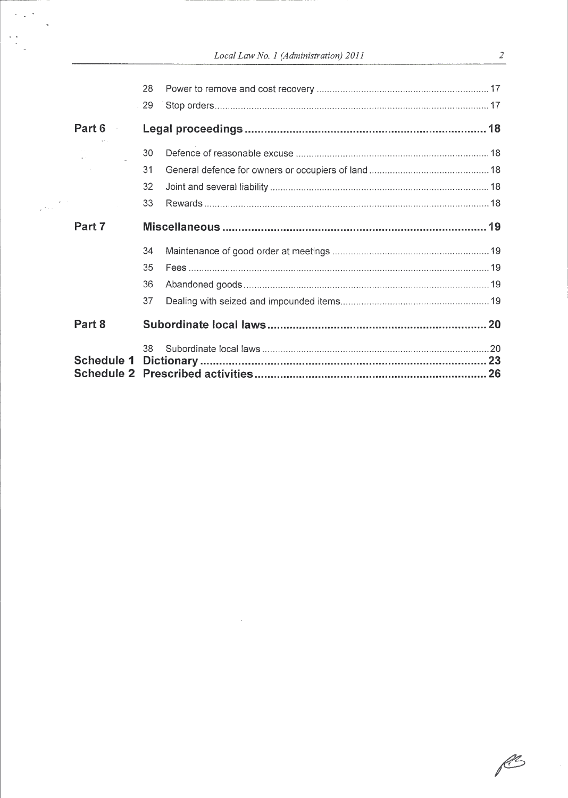|  |  | Local Law No. 1 (Administration) 2011 |  |
|--|--|---------------------------------------|--|
|--|--|---------------------------------------|--|

|                   | 28 |  |  |  |  |
|-------------------|----|--|--|--|--|
|                   | 29 |  |  |  |  |
| Part 6            |    |  |  |  |  |
|                   | 30 |  |  |  |  |
|                   | 31 |  |  |  |  |
|                   | 32 |  |  |  |  |
|                   | 33 |  |  |  |  |
| Part 7            |    |  |  |  |  |
|                   | 34 |  |  |  |  |
|                   | 35 |  |  |  |  |
|                   | 36 |  |  |  |  |
|                   | 37 |  |  |  |  |
| Part 8            |    |  |  |  |  |
|                   | 38 |  |  |  |  |
| <b>Schedule 1</b> |    |  |  |  |  |
|                   |    |  |  |  |  |

PS

 $\frac{2}{\sqrt{2}}$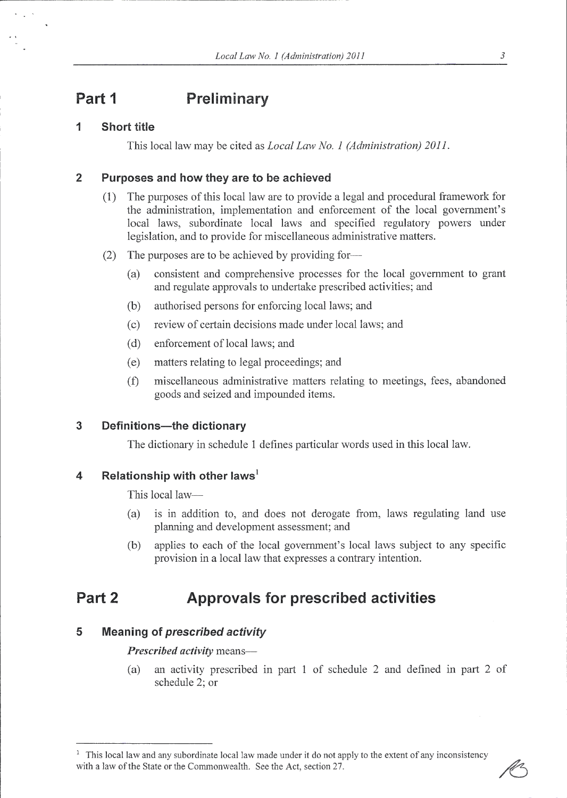## Part 1 Preliminary

### 1 Short title

This local law may be cited as Local Law No. I (Administration) 2011.

### 2 Purposes and how they are to be achieved

- (1) The purposes of this local law are to provide a legal and procedural framework for the administration, implementation and enforcement of the local government's local laws, subordinate local laws and specified regulatory powers under legislation, and to provide for miscellaneous administrative matters.
- (2) The purposes are to be achieved by providing for-
	- (a) consistent and comprehensive processes for the local government to grant and regulate approvals to undertake prescribed activities; and
	- (b) authorised persons for enforcing local laws; and
	- (c) review of certain decisions made under local laws; and
	- (d) enforcement of local laws; and
	- (e) matters relating to legal proceedings; and
	- (f) miscellaneous administrative matters relating to meetings, fees, abandoned goods and seized and impounded items.

### 3 Definitions-the dictionary

The dictionary in schedule 1 defines particular words used in this local law.

### 4 Relationship with other laws<sup>1</sup>

This local law-

- (a) is in addition to, and does not derogate from, laws regulating land use planning and development assessment; and
- (b) applies to each of the local government's local laws subject to any specific provision in a local law that expresses a contrary intention.

## Part 2 Approvals for prescribed activities

### 5 Meaning of prescribed activity

Prescribed activity means-

(a) an activity prescribed in part 1 of schedule 2 and defined in part 2 of schedule 2: or

<sup>&</sup>lt;sup>1</sup> This local law and any subordinate local law made under it do not apply to the extent of any inconsistency with a law of the State or the Commonwealth. See the Act, section 27.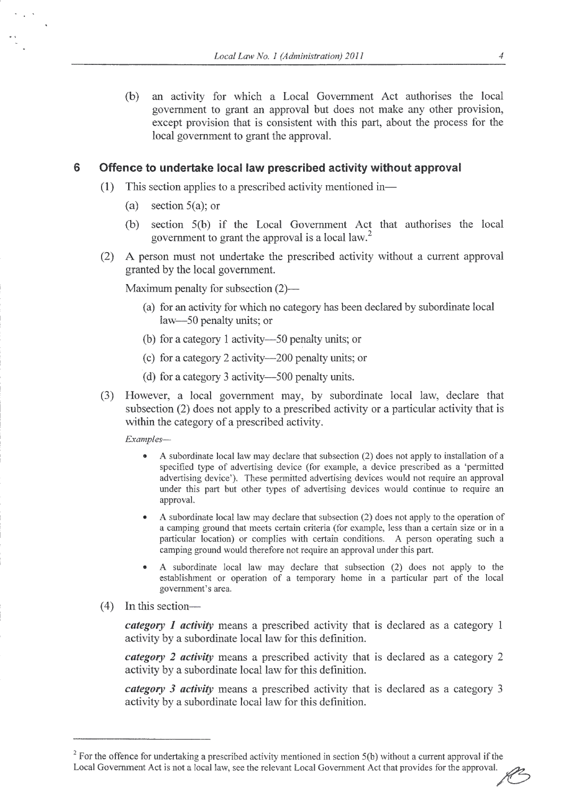(b) an activity for which a Local Government Act authorises the local govemment to grant an approval but does not make any other provision, except provision that is consistent with this part, about the process for the local government to grant the approval.

#### 6 Offence to undertake local law prescribed activity without approval

- (1) This section applies to a prescribed activity mentioned in-
	- (a) section 5(a); or
	- (b) section 5(b) if the Local Govemment Act that authorises the local government to grant the approval is a local law.<sup>2</sup>
- (2) A person must not undertake the prescribed activity without a current approval granted by the local govemment.

Maximum penalty for subsection (2)—

- (a) for an activity for which no category has been declared by subordinate local law-50 penalty units; or
- (b) for a category I activity-50 penalty units; or
- (c) for a category 2 activity-200 penalty units; or
- (d) for a category 3 activity-500 penalty units.
- (3) However, a local government may, by subordinate local law, declare that subsection (2) does not apply to a prescribed activity or a particular activity that is within the category of a prescribed activity.

Examples-

- A subordinate local law may declare that subsection (2) does not apply to installation of a specified type of advertising device (for example, a device prescribed as a 'permitted advertising device'). These pennitted advertising devices would not require an approval under this part but other types of advertising devices would continue to require an approval.
- r A subordinate local law may declare that subsection (2) does not apply to the operation of a camping ground that meets ceftain criteria (for example, less than a ceftain size or in a particular location) or complies with certain conditions. A person operating such a camping ground would therefore not require an approval under this part.
- . A subordinate local law rnay declare that subsection (2) does not apply to the establislunent or operation of a temporary home in a pafticular part of the local goverrunent's area.
- $(4)$  In this section-

*category 1 activity* means a prescribed activity that is declared as a category 1 activity by a subordinate local law for this definition.

*category 2 activity* means a prescribed activity that is declared as a category 2 activity by a subordinate local law for this definition.

category 3 activity means a prescribed activity that is declared as a category 3 activitv bv a subordinate local law for this definition.

 $2^2$  For the offence for undertaking a prescribed activity mentioned in section 5(b) without a current approval if the Local Government Act is not a local law, see the relevant Local Government Act that provides for the approval.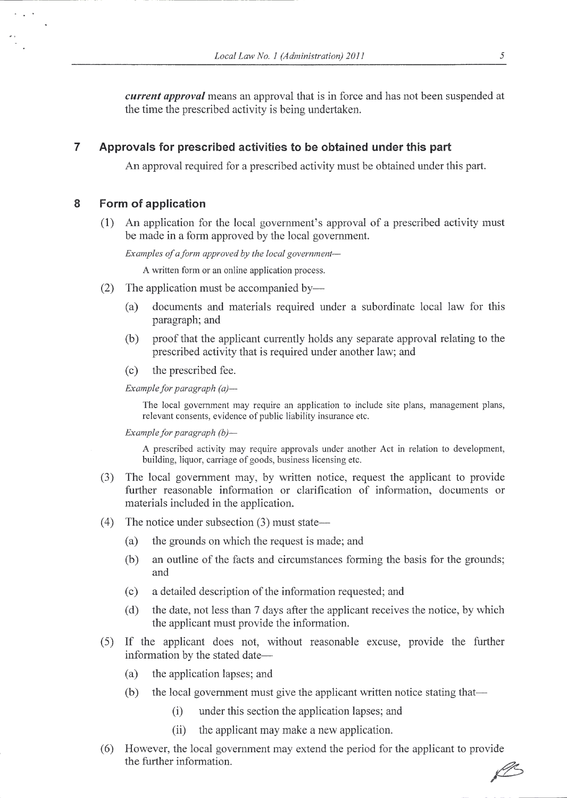*current approval* means an approval that is in force and has not been suspended at the time the prescribed activity is being undertaken.

### 7 Approvals for prescribed activities to be obtained under this part

An approval required for a prescribed activity must be obtained under this part.

### 8 Form of application

 $\sim$ 

(1) An application for the local government's approval of a prescribed activity must be made in a form approved by the local government.

Examples of a form approved by the local government-

A written forrn or an online application process.

- (2) The application must be accompanied by—
	- (a) documents and rnaterials required under a subordinate local law for this paragraph; and
	- (b) proof that the applicant cumently holds any separate approval relating to the prescribed activity that is required under another law; and
	- (c) the prescribed fee.

Example for paragraph  $(a)$ —

The local government may require an application to include site plans, management plans, relevant consents, evidence of public liability insurance etc.

Example for paragraph  $(b)$ -

A prescribed activity may require approvals under another Act in relation to development, building, liquor, cariage of goods, business licensing etc.

- (3) The local government may, by written notice, request the applicant to provide further reasonable information or clarification of infonnation, documents or materials included in the application.
- (4) The notice under subsection  $(3)$  must state—
	- (a) the grounds on which the request is made; and
	- (b) an outline of the facts and circumstances forming the basis for the grounds; and
	- (c) a detailed description of the infonnation requested; and
	- (d) the date, not less than 7 days after the applicant receives the notice, by which the applicant must provide the information.
- (5) If the applicant does not, without reasonable excuse, provide the further information by the stated date-
	- (a) the application lapses; and
	- (b) the local government must give the applicant written notice stating that--
		- $(i)$  under this section the application lapses; and
		- (ii) the applicant may make a new application.
- (6) However, the local government may extend the period for the applicant to prov ide the further information. @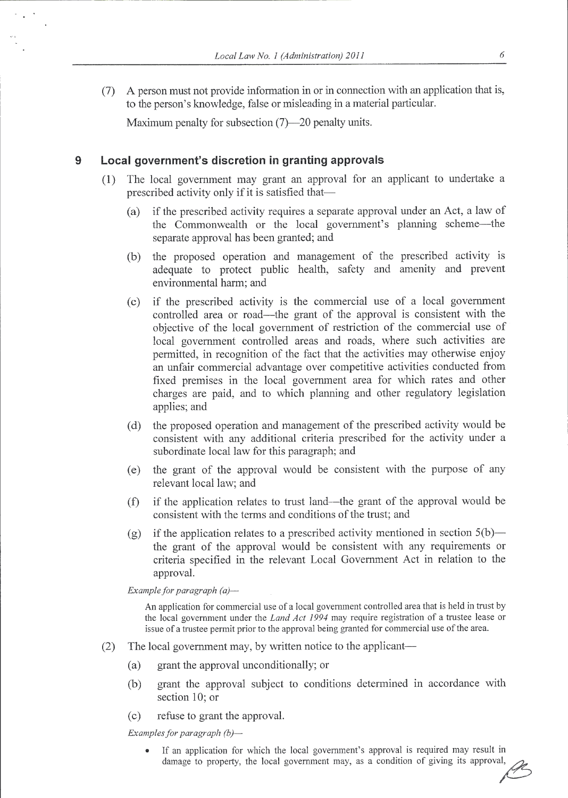(7) A person must not provide information in or in connection with an application that is, to the person's knowledge, false or misleading in a material particular.

Maximum penalty for subsection (7)-20 penalty units.

#### $\mathbf{Q}$ Local government's discretion in granting approvals

- (1) The local goverrment may grant an approval for an applicant to underlake <sup>a</sup> prescribed activity only if it is satisfied that-
	- (a) if the prescribed activity requires a separate approval under an Act, a law of the Commonwealth or the local government's planning scheme-the separate approval has been granted; and
	- (b) the proposed operation and management of the prescribed activity is adequate to protect public health, safety and amenity and prevent environmental harm; and
	- (c) if the prescribed activity is the comrnercial use of a local government controlled area or road—the grant of the approval is consistent with the objective of the local govemment of restriction of the commercial use of local govenrment controlled areas and roads, where such activities are permitted, in recognition of the fact that the activities may otherwise enjoy an unfair commercial advantage over competitive activities conducted from fixed premises in the local government area for which rates and other charges are paid, and to which planning and other regulatory legislation applies; and
	- (d) the proposed operation and management of the prescribed activity would be consistent with any additional criteria prescribed for the activity under <sup>a</sup> subordinate local law for this paragraph; and
	- (e) the grant of the approval would be consistent with the purpose of any relevant local law; and
	- $(f)$  if the application relates to trust land—the grant of the approval would be consistent with the terms and conditions of the trust; and
	- (g) if the application relates to a prescribed activity mentioned in section  $5(b)$  the grant of the approval would be consistent with any requirements or criteria specified in the relevant Local Government Act in relation to the approval.

Example for paragraph  $(a)$ -

An application for commercial use of a local govemnent controlled area that is held in trust by the local government under the *Land Act 1994* may require registration of a trustee lease or issue of a trustee permit prior to the approval being granted for commercial use of the area.

- (2) The local government may, by written notice to the applicant-
	- (a) grant the approval unconditionally; or
	- (b) grant the approval subject to conditions determined in accordance with section 10; or
	- (c) refuse to grant the approval.

Examples for paragraph  $(b)$ -

. If an application for which the local government's approval is required may result in damage to property, the local government may, as a condition of giving its approval,

 $\sqrt{2}$